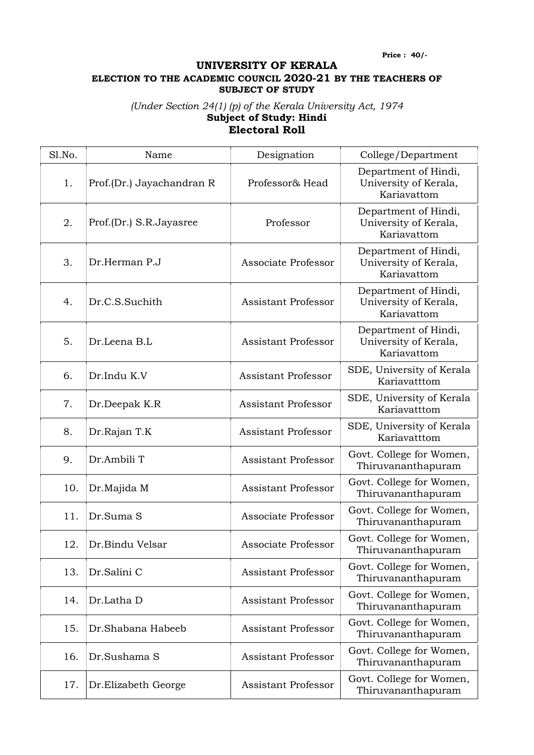Price : 40/-

## UNIVERSITY OF KERALA ELECTION TO THE ACADEMIC COUNCIL 2020-21 BY THE TEACHERS OF SUBJECT OF STUDY

## (Under Section 24(1) (p) of the Kerala University Act, 1974 Subject of Study: Hindi Electoral Roll

| Sl.No. | Name                      | Designation                | College/Department                                           |
|--------|---------------------------|----------------------------|--------------------------------------------------------------|
| 1.     | Prof.(Dr.) Jayachandran R | Professor& Head            | Department of Hindi,<br>University of Kerala,<br>Kariavattom |
| 2.     | Prof.(Dr.) S.R.Jayasree   | Professor                  | Department of Hindi,<br>University of Kerala,<br>Kariavattom |
| 3.     | Dr.Herman P.J             | Associate Professor        | Department of Hindi,<br>University of Kerala,<br>Kariavattom |
| 4.     | Dr.C.S.Suchith            | <b>Assistant Professor</b> | Department of Hindi,<br>University of Kerala,<br>Kariavattom |
| 5.     | Dr.Leena B.L              | <b>Assistant Professor</b> | Department of Hindi,<br>University of Kerala,<br>Kariavattom |
| 6.     | Dr.Indu K.V               | <b>Assistant Professor</b> | SDE, University of Kerala<br>Kariavatttom                    |
| 7.     | Dr.Deepak K.R             | <b>Assistant Professor</b> | SDE, University of Kerala<br>Kariavatttom                    |
| 8.     | Dr.Rajan T.K              | <b>Assistant Professor</b> | SDE, University of Kerala<br>Kariavatttom                    |
| 9.     | Dr.Ambili T               | <b>Assistant Professor</b> | Govt. College for Women,<br>Thiruvananthapuram               |
| 10.    | Dr.Majida M               | <b>Assistant Professor</b> | Govt. College for Women,<br>Thiruvananthapuram               |
| 11.    | Dr.Suma S                 | Associate Professor        | Govt. College for Women,<br>Thiruvananthapuram               |
| 12.    | Dr.Bindu Velsar           | Associate Professor        | Govt. College for Women,<br>Thiruvananthapuram               |
| 13.    | Dr.Salini C               | <b>Assistant Professor</b> | Govt. College for Women,<br>Thiruvananthapuram               |
| 14.    | Dr.Latha D                | <b>Assistant Professor</b> | Govt. College for Women,<br>Thiruvananthapuram               |
| 15.    | Dr.Shabana Habeeb         | <b>Assistant Professor</b> | Govt. College for Women,<br>Thiruvananthapuram               |
| 16.    | Dr.Sushama S              | <b>Assistant Professor</b> | Govt. College for Women,<br>Thiruvananthapuram               |
| 17.    | Dr. Elizabeth George      | <b>Assistant Professor</b> | Govt. College for Women,<br>Thiruvananthapuram               |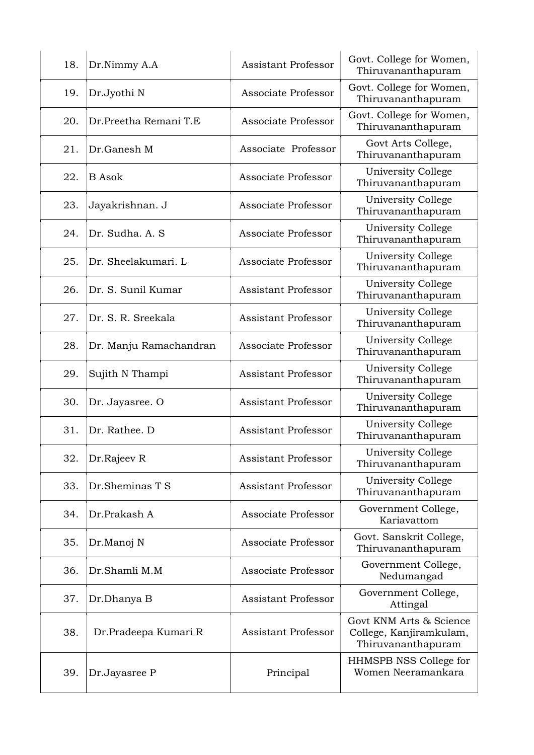| 18. | Dr.Nimmy A.A           | <b>Assistant Professor</b> | Govt. College for Women,<br>Thiruvananthapuram                           |
|-----|------------------------|----------------------------|--------------------------------------------------------------------------|
| 19. | Dr.Jyothi N            | Associate Professor        | Govt. College for Women,<br>Thiruvananthapuram                           |
| 20. | Dr.Preetha Remani T.E  | Associate Professor        | Govt. College for Women,<br>Thiruvananthapuram                           |
| 21. | Dr.Ganesh M            | Associate Professor        | Govt Arts College,<br>Thiruvananthapuram                                 |
| 22. | <b>B</b> Asok          | Associate Professor        | University College<br>Thiruvananthapuram                                 |
| 23. | Jayakrishnan. J        | Associate Professor        | University College<br>Thiruvananthapuram                                 |
| 24. | Dr. Sudha, A. S.       | Associate Professor        | University College<br>Thiruvananthapuram                                 |
| 25. | Dr. Sheelakumari. L    | Associate Professor        | University College<br>Thiruvananthapuram                                 |
| 26. | Dr. S. Sunil Kumar     | Assistant Professor        | University College<br>Thiruvananthapuram                                 |
| 27. | Dr. S. R. Sreekala     | <b>Assistant Professor</b> | University College<br>Thiruvananthapuram                                 |
| 28. | Dr. Manju Ramachandran | Associate Professor        | University College<br>Thiruvananthapuram                                 |
| 29. | Sujith N Thampi        | <b>Assistant Professor</b> | University College<br>Thiruvananthapuram                                 |
| 30. | Dr. Jayasree. O        | <b>Assistant Professor</b> | University College<br>Thiruvananthapuram                                 |
| 31. | Dr. Rathee. D          | Assistant Professor        | University College<br>Thiruvananthapuram                                 |
| 32. | Dr.Rajeev R            | <b>Assistant Professor</b> | University College<br>Thiruvananthapuram                                 |
| 33. | Dr.Sheminas T S        | Assistant Professor        | University College<br>Thiruvananthapuram                                 |
| 34. | Dr.Prakash A           | Associate Professor        | Government College,<br>Kariavattom                                       |
| 35. | Dr.Manoj N             | Associate Professor        | Govt. Sanskrit College,<br>Thiruvananthapuram                            |
| 36. | Dr.Shamli M.M          | Associate Professor        | Government College,<br>Nedumangad                                        |
| 37. | Dr.Dhanya B            | <b>Assistant Professor</b> | Government College,<br>Attingal                                          |
| 38. | Dr.Pradeepa Kumari R   | <b>Assistant Professor</b> | Govt KNM Arts & Science<br>College, Kanjiramkulam,<br>Thiruvananthapuram |
| 39. | Dr.Jayasree P          | Principal                  | HHMSPB NSS College for<br>Women Neeramankara                             |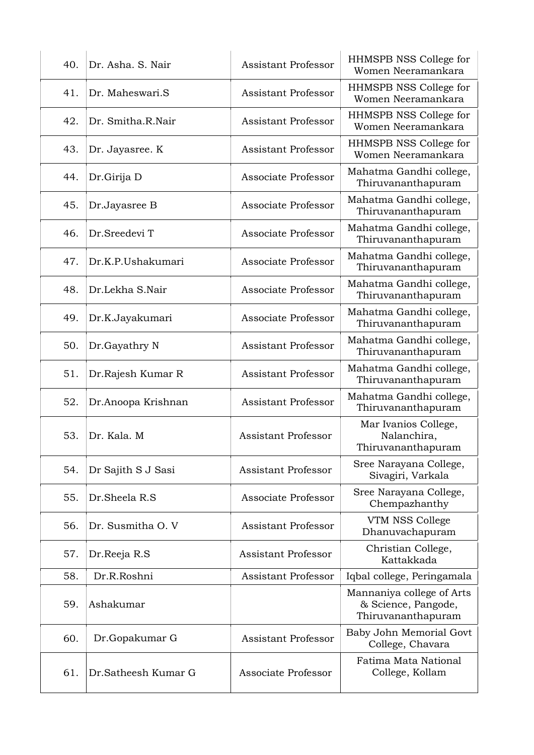| 40. | Dr. Asha, S. Nair   | <b>Assistant Professor</b> | HHMSPB NSS College for<br>Women Neeramankara                           |
|-----|---------------------|----------------------------|------------------------------------------------------------------------|
| 41. | Dr. Maheswari.S     | <b>Assistant Professor</b> | HHMSPB NSS College for<br>Women Neeramankara                           |
| 42. | Dr. Smitha.R.Nair   | <b>Assistant Professor</b> | HHMSPB NSS College for<br>Women Neeramankara                           |
| 43. | Dr. Jayasree. K     | <b>Assistant Professor</b> | HHMSPB NSS College for<br>Women Neeramankara                           |
| 44. | Dr.Girija D         | Associate Professor        | Mahatma Gandhi college,<br>Thiruvananthapuram                          |
| 45. | Dr.Jayasree B       | Associate Professor        | Mahatma Gandhi college,<br>Thiruvananthapuram                          |
| 46. | Dr.Sreedevi T       | Associate Professor        | Mahatma Gandhi college,<br>Thiruvananthapuram                          |
| 47. | Dr.K.P.Ushakumari   | Associate Professor        | Mahatma Gandhi college,<br>Thiruvananthapuram                          |
| 48. | Dr.Lekha S.Nair     | Associate Professor        | Mahatma Gandhi college,<br>Thiruvananthapuram                          |
| 49. | Dr.K.Jayakumari     | Associate Professor        | Mahatma Gandhi college,<br>Thiruvananthapuram                          |
| 50. | Dr.Gayathry N       | <b>Assistant Professor</b> | Mahatma Gandhi college,<br>Thiruvananthapuram                          |
| 51. | Dr.Rajesh Kumar R   | <b>Assistant Professor</b> | Mahatma Gandhi college,<br>Thiruvananthapuram                          |
| 52. | Dr.Anoopa Krishnan  | <b>Assistant Professor</b> | Mahatma Gandhi college,<br>Thiruvananthapuram                          |
| 53. | Dr. Kala. M         | <b>Assistant Professor</b> | Mar Ivanios College,<br>Nalanchira,<br>Thiruvananthapuram              |
| 54. | Dr Sajith S J Sasi  | <b>Assistant Professor</b> | Sree Narayana College,<br>Sivagiri, Varkala                            |
| 55. | Dr.Sheela R.S       | Associate Professor        | Sree Narayana College,<br>Chempazhanthy                                |
| 56. | Dr. Susmitha O. V   | <b>Assistant Professor</b> | VTM NSS College<br>Dhanuvachapuram                                     |
| 57. | Dr.Reeja R.S        | <b>Assistant Professor</b> | Christian College,<br>Kattakkada                                       |
| 58. | Dr.R.Roshni         | <b>Assistant Professor</b> | Iqbal college, Peringamala                                             |
| 59. | Ashakumar           |                            | Mannaniya college of Arts<br>& Science, Pangode,<br>Thiruvananthapuram |
| 60. | Dr.Gopakumar G      | <b>Assistant Professor</b> | Baby John Memorial Govt<br>College, Chavara                            |
| 61. | Dr.Satheesh Kumar G | Associate Professor        | Fatima Mata National<br>College, Kollam                                |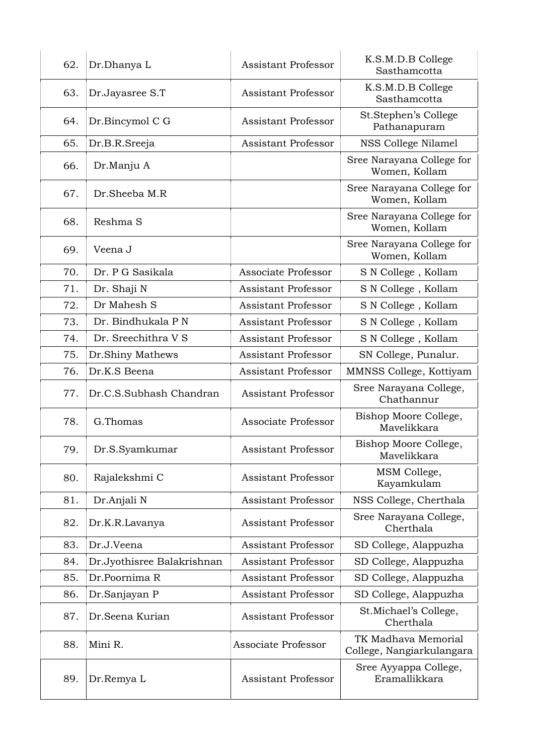| 62. | Dr.Dhanya L                | <b>Assistant Professor</b> | K.S.M.D.B College<br>Sasthamcotta                |
|-----|----------------------------|----------------------------|--------------------------------------------------|
| 63. | Dr.Jayasree S.T            | Assistant Professor        | K.S.M.D.B College<br>Sasthamcotta                |
| 64. | Dr.Bincymol C G            | <b>Assistant Professor</b> | St.Stephen's College<br>Pathanapuram             |
| 65. | Dr.B.R.Sreeja              | <b>Assistant Professor</b> | NSS College Nilamel                              |
| 66. | Dr.Manju A                 |                            | Sree Narayana College for<br>Women, Kollam       |
| 67. | Dr.Sheeba M.R              |                            | Sree Narayana College for<br>Women, Kollam       |
| 68. | Reshma S                   |                            | Sree Narayana College for<br>Women, Kollam       |
| 69. | Veena J                    |                            | Sree Narayana College for<br>Women, Kollam       |
| 70. | Dr. P G Sasikala           | Associate Professor        | S N College, Kollam                              |
| 71. | Dr. Shaji N                | Assistant Professor        | S N College, Kollam                              |
| 72. | Dr Mahesh S                | Assistant Professor        | S N College, Kollam                              |
| 73. | Dr. Bindhukala P N         | Assistant Professor        | S N College, Kollam                              |
| 74. | Dr. Sreechithra V S        | <b>Assistant Professor</b> | S N College, Kollam                              |
| 75. | Dr.Shiny Mathews           | Assistant Professor        | SN College, Punalur.                             |
| 76. | Dr.K.S Beena               | <b>Assistant Professor</b> | MMNSS College, Kottiyam                          |
| 77. | Dr.C.S.Subhash Chandran    | <b>Assistant Professor</b> | Sree Narayana College,<br>Chathannur             |
| 78. | G.Thomas                   | Associate Professor        | Bishop Moore College,<br>Mavelikkara             |
| 79. | Dr.S.Syamkumar             | <b>Assistant Professor</b> | Bishop Moore College,<br>Mavelikkara             |
| 80. | Rajalekshmi C              | <b>Assistant Professor</b> | MSM College,<br>Kayamkulam                       |
| 81. | Dr.Anjali N                | Assistant Professor        | NSS College, Cherthala                           |
| 82. | Dr.K.R.Lavanya             | <b>Assistant Professor</b> | Sree Narayana College,<br>Cherthala              |
| 83. | Dr.J.Veena                 | Assistant Professor        | SD College, Alappuzha                            |
| 84. | Dr.Jyothisree Balakrishnan | <b>Assistant Professor</b> | SD College, Alappuzha                            |
| 85. | Dr.Poornima R              | <b>Assistant Professor</b> | SD College, Alappuzha                            |
| 86. | Dr.Sanjayan P              | <b>Assistant Professor</b> | SD College, Alappuzha                            |
| 87. | Dr.Seena Kurian            | <b>Assistant Professor</b> | St. Michael's College,<br>Cherthala              |
| 88. | Mini R.                    | Associate Professor        | TK Madhava Memorial<br>College, Nangiarkulangara |
| 89. | Dr.Remya L                 | <b>Assistant Professor</b> | Sree Ayyappa College,<br>Eramallikkara           |